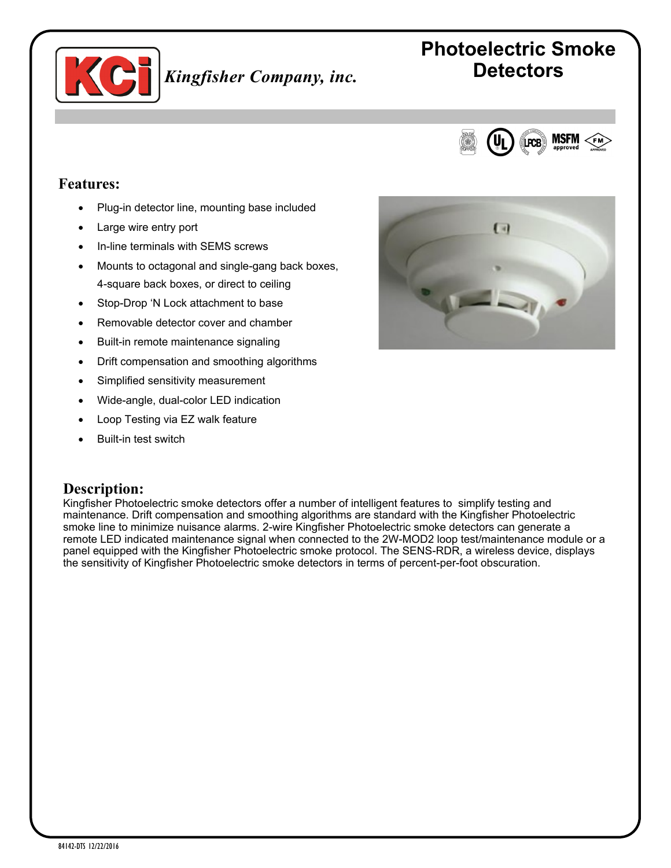

# **Photoelectric Smoke Detectors**



#### **Features:**

- Plug-in detector line, mounting base included
- Large wire entry port
- In-line terminals with SEMS screws
- Mounts to octagonal and single-gang back boxes, 4-square back boxes, or direct to ceiling
- Stop-Drop 'N Lock attachment to base
- Removable detector cover and chamber
- Built-in remote maintenance signaling
- Drift compensation and smoothing algorithms
- Simplified sensitivity measurement
- Wide-angle, dual-color LED indication
- Loop Testing via EZ walk feature
- Built-in test switch

#### **Description:**

Kingfisher Photoelectric smoke detectors offer a number of intelligent features to simplify testing and maintenance. Drift compensation and smoothing algorithms are standard with the Kingfisher Photoelectric smoke line to minimize nuisance alarms. 2-wire Kingfisher Photoelectric smoke detectors can generate a remote LED indicated maintenance signal when connected to the 2W-MOD2 loop test/maintenance module or a panel equipped with the Kingfisher Photoelectric smoke protocol. The SENS-RDR, a wireless device, displays the sensitivity of Kingfisher Photoelectric smoke detectors in terms of percent-per-foot obscuration.